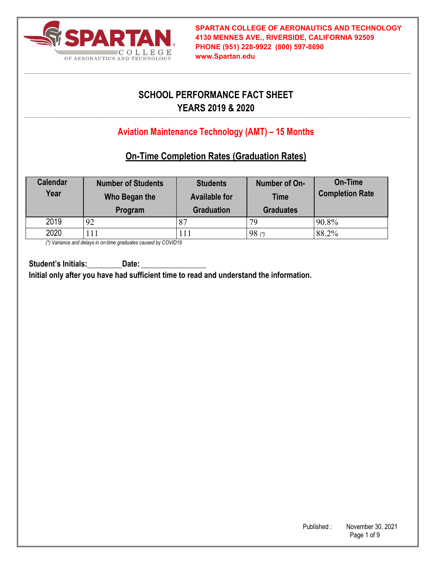

# **SCHOOL PERFORMANCE FACT SHEET YEARS 2019 & 2020**

# **Aviation Maintenance Technology (AMT) – 15 Months**

## **On-Time Completion Rates (Graduation Rates)**

| <b>Calendar</b><br>Year | <b>Number of Students</b><br>Who Began the<br>Program | <b>Students</b><br><b>Available for</b><br><b>Graduation</b> | Number of On-<br><b>Time</b><br><b>Graduates</b> | On-Time<br><b>Completion Rate</b> |
|-------------------------|-------------------------------------------------------|--------------------------------------------------------------|--------------------------------------------------|-----------------------------------|
| 2019                    | 92                                                    | 87                                                           | 79                                               | 90.8%                             |
| 2020                    |                                                       | 11                                                           | 98()                                             | 88.2%                             |

*(\*) Variance and delays in on-time graduates caused by COVID19*

**Student's Initials: Date: Initial only after you have had sufficient time to read and understand the information.**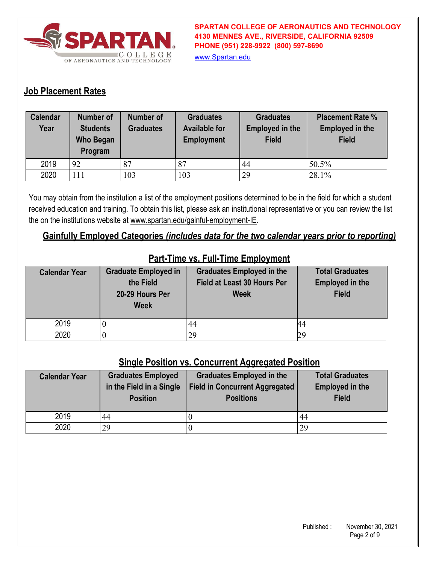

www.Spartan.edu

### **Job Placement Rates**

| <b>Calendar</b><br>Year | <b>Number of</b><br><b>Students</b><br><b>Who Began</b><br>Program | <b>Number of</b><br><b>Graduates</b> | <b>Graduates</b><br><b>Available for</b><br><b>Employment</b> | <b>Graduates</b><br><b>Employed in the</b><br><b>Field</b> | <b>Placement Rate %</b><br><b>Employed in the</b><br><b>Field</b> |
|-------------------------|--------------------------------------------------------------------|--------------------------------------|---------------------------------------------------------------|------------------------------------------------------------|-------------------------------------------------------------------|
| 2019                    | 92                                                                 | 87                                   | 87                                                            | 44                                                         | 50.5%                                                             |
| 2020                    | 111                                                                | 103                                  | 103                                                           | 29                                                         | 28.1%                                                             |

You may obtain from the institution a list of the employment positions determined to be in the field for which a student received education and training. To obtain this list, please ask an institutional representative or you can review the list the on the institutions website at www.spartan.edu/gainful-employment-IE.

#### **Gainfully Employed Categories** *(includes data for the two calendar years prior to reporting)*

| <b>Calendar Year</b> | <b>Graduate Employed in</b><br>the Field<br>20-29 Hours Per<br><b>Week</b> | <b>Graduates Employed in the</b><br>Field at Least 30 Hours Per<br><b>Week</b> | <b>Total Graduates</b><br><b>Employed in the</b><br><b>Field</b> |
|----------------------|----------------------------------------------------------------------------|--------------------------------------------------------------------------------|------------------------------------------------------------------|
| 2019                 |                                                                            | 44                                                                             |                                                                  |
| 2020                 |                                                                            | 29                                                                             |                                                                  |

## **Part-Time vs. Full-Time Employment**

#### **Single Position vs. Concurrent Aggregated Position**

| <b>Calendar Year</b> | <b>Graduates Employed</b><br>in the Field in a Single<br><b>Position</b> | <b>Graduates Employed in the</b><br><b>Field in Concurrent Aggregated</b><br><b>Positions</b> | <b>Total Graduates</b><br><b>Employed in the</b><br><b>Field</b> |
|----------------------|--------------------------------------------------------------------------|-----------------------------------------------------------------------------------------------|------------------------------------------------------------------|
| 2019                 | 44                                                                       |                                                                                               | 44                                                               |
| 2020                 | 29                                                                       |                                                                                               | 29                                                               |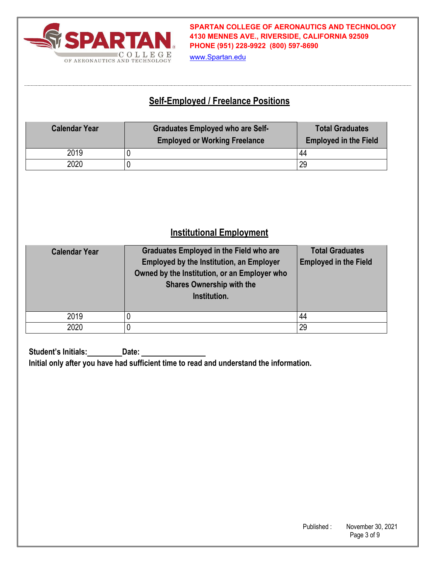

www.Spartan.edu

## **Self-Employed / Freelance Positions**

| <b>Calendar Year</b> | <b>Graduates Employed who are Self-</b><br><b>Employed or Working Freelance</b> | <b>Total Graduates</b><br><b>Employed in the Field</b> |
|----------------------|---------------------------------------------------------------------------------|--------------------------------------------------------|
| 2019                 |                                                                                 | 44                                                     |
| 2020                 |                                                                                 | 29                                                     |

# **Institutional Employment**

| <b>Calendar Year</b> | <b>Graduates Employed in the Field who are</b><br><b>Employed by the Institution, an Employer</b><br>Owned by the Institution, or an Employer who<br><b>Shares Ownership with the</b><br>Institution. | <b>Total Graduates</b><br><b>Employed in the Field</b> |
|----------------------|-------------------------------------------------------------------------------------------------------------------------------------------------------------------------------------------------------|--------------------------------------------------------|
| 2019                 |                                                                                                                                                                                                       | 44                                                     |
| 2020                 |                                                                                                                                                                                                       | 29                                                     |

**Student's Initials: Date: Initial only after you have had sufficient time to read and understand the information.**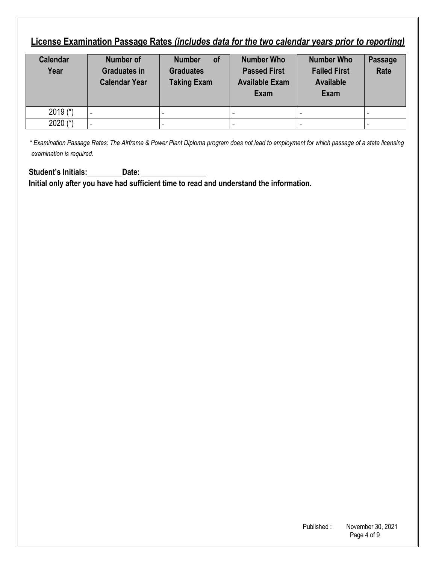# **License Examination Passage Rates** *(includes data for the two calendar years prior to reporting)*

| <b>Calendar</b><br>Year | <b>Number of</b><br><b>Graduates in</b><br><b>Calendar Year</b> | <b>of</b><br><b>Number</b><br><b>Graduates</b><br><b>Taking Exam</b> | <b>Number Who</b><br><b>Passed First</b><br><b>Available Exam</b><br><b>Exam</b> | <b>Number Who</b><br><b>Failed First</b><br><b>Available</b><br><b>Exam</b> | Passage<br>Rate |
|-------------------------|-----------------------------------------------------------------|----------------------------------------------------------------------|----------------------------------------------------------------------------------|-----------------------------------------------------------------------------|-----------------|
| $2019$ (*)              |                                                                 |                                                                      |                                                                                  |                                                                             |                 |
| 2020 $(*)$              |                                                                 |                                                                      |                                                                                  |                                                                             |                 |

*\* Examination Passage Rates: The Airframe & Power Plant Diploma program does not lead to employment for which passage of a state licensing examination is required*.

Student's Initials: Date: Date: **Initial only after you have had sufficient time to read and understand the information.**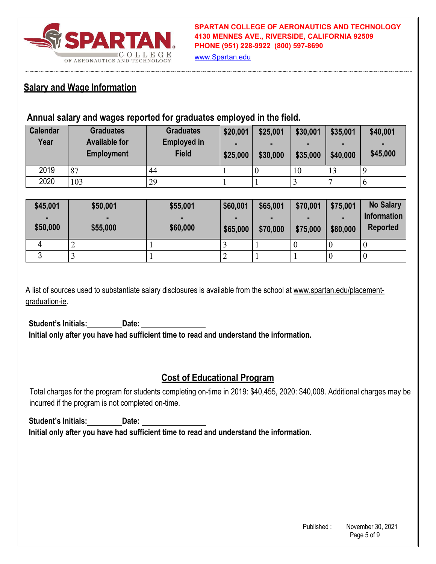

www.Spartan.edu

### **Salary and Wage Information**

### **Annual salary and wages reported for graduates employed in the field.**

| <b>Calendar</b><br>Year | <b>Graduates</b><br><b>Available for</b><br><b>Employment</b> | <b>Graduates</b><br><b>Employed in</b><br><b>Field</b> | \$20,001<br>-<br>\$25,000 | \$25,001<br>$\blacksquare$<br>\$30,000 | \$30,001<br>\$35,000 | \$35,001<br>$\blacksquare$<br>\$40,000 | \$40,001<br>$\blacksquare$<br>\$45,000 |
|-------------------------|---------------------------------------------------------------|--------------------------------------------------------|---------------------------|----------------------------------------|----------------------|----------------------------------------|----------------------------------------|
| 2019                    | 87                                                            | 44                                                     |                           |                                        | 10                   | 13                                     | - G                                    |
| 2020                    | 103                                                           | 29                                                     |                           |                                        |                      |                                        | ∣ O                                    |

| \$45,001       | \$50,001       | \$55,001 | \$60,001 | \$65,001 | \$70,001 | \$75,001 | <b>No Salary</b>   |
|----------------|----------------|----------|----------|----------|----------|----------|--------------------|
| $\blacksquare$ | $\blacksquare$ |          |          |          |          |          | <b>Information</b> |
| \$50,000       | \$55,000       | \$60,000 | \$65,000 | \$70,000 | \$75,000 | \$80,000 | <b>Reported</b>    |
| 4              |                |          |          |          |          | $\theta$ | U                  |
|                |                |          |          |          |          |          | U                  |

A list of sources used to substantiate salary disclosures is available from the school at www.spartan.edu/placementgraduation-ie.

**Student's Initials: Date: Initial only after you have had sufficient time to read and understand the information.** 

### **Cost of Educational Program**

Total charges for the program for students completing on-time in 2019: \$40,455, 2020: \$40,008. Additional charges may be incurred if the program is not completed on-time.

**Student's Initials: Date: Initial only after you have had sufficient time to read and understand the information.**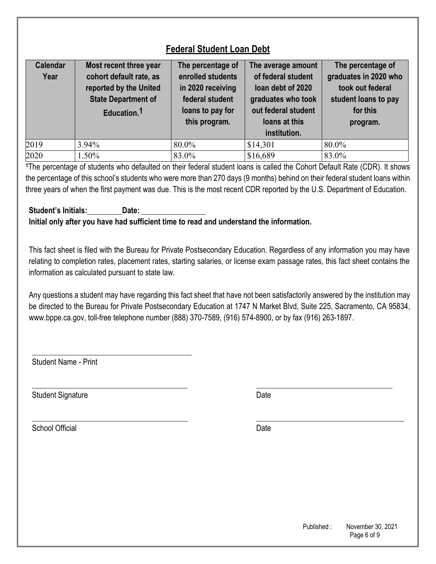# **Federal Student Loan Debt**

| <b>Calendar</b><br>Year | Most recent three year<br>cohort default rate, as<br>reported by the United<br><b>State Department of</b><br>Education. <sup>1</sup> | The percentage of<br>enrolled students<br>in 2020 receiving<br>federal student<br>loans to pay for<br>this program. | The average amount<br>of federal student<br>loan debt of 2020<br>graduates who took<br>out federal student<br>loans at this<br>institution. | The percentage of<br>graduates in 2020 who<br>took out federal<br>student loans to pay<br>for this<br>program. |
|-------------------------|--------------------------------------------------------------------------------------------------------------------------------------|---------------------------------------------------------------------------------------------------------------------|---------------------------------------------------------------------------------------------------------------------------------------------|----------------------------------------------------------------------------------------------------------------|
| 2019                    | 3.94%                                                                                                                                | 80.0%                                                                                                               | \$14,301                                                                                                                                    | 80.0%                                                                                                          |
| 2020                    | 1.50%                                                                                                                                | 83.0%                                                                                                               | \$16,689                                                                                                                                    | 83.0%                                                                                                          |

**<sup>1</sup>**The percentage of students who defaulted on their federal student loans is called the Cohort Default Rate (CDR). It shows the percentage of this school's students who were more than 270 days (9 months) behind on their federal student loans within three years of when the first payment was due. This is the most recent CDR reported by the U.S. Department of Education.

#### **Student's Initials: Date: Initial only after you have had sufficient time to read and understand the information.**

This fact sheet is filed with the Bureau for Private Postsecondary Education. Regardless of any information you may have relating to completion rates, placement rates, starting salaries, or license exam passage rates, this fact sheet contains the information as calculated pursuant to state law.

Any questions a student may have regarding this fact sheet that have not been satisfactorily answered by the institution may be directed to the Bureau for Private Postsecondary Education at 1747 N Market Blvd, Suite 225, Sacramento, CA 95834, www.bppe.ca.gov, toll-free telephone number (888) 370-7589, (916) 574-8900, or by fax (916) 263-1897.

Student Name - Print

Student Signature Date Date Controllers and Date Date Date

School Official Date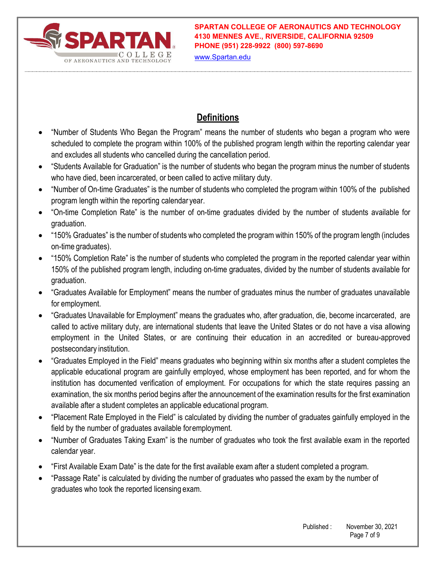

www.Spartan.edu

# **Definitions**

- "Number of Students Who Began the Program" means the number of students who began a program who were scheduled to complete the program within 100% of the published program length within the reporting calendar year and excludes all students who cancelled during the cancellation period.
- "Students Available for Graduation" is the number of students who began the program minus the number of students who have died, been incarcerated, or been called to active military duty.
- "Number of On-time Graduates" is the number of students who completed the program within 100% of the published program length within the reporting calendar year.
- "On-time Completion Rate" is the number of on-time graduates divided by the number of students available for graduation.
- "150% Graduates" is the number of students who completed the program within 150% of the program length (includes on-time graduates).
- "150% Completion Rate" is the number of students who completed the program in the reported calendar year within 150% of the published program length, including on-time graduates, divided by the number of students available for graduation.
- "Graduates Available for Employment" means the number of graduates minus the number of graduates unavailable for employment.
- "Graduates Unavailable for Employment" means the graduates who, after graduation, die, become incarcerated, are called to active military duty, are international students that leave the United States or do not have a visa allowing employment in the United States, or are continuing their education in an accredited or bureau-approved postsecondary institution.
- "Graduates Employed in the Field" means graduates who beginning within six months after a student completes the applicable educational program are gainfully employed, whose employment has been reported, and for whom the institution has documented verification of employment. For occupations for which the state requires passing an examination, the six months period begins after the announcement of the examination results for the first examination available after a student completes an applicable educational program.
- "Placement Rate Employed in the Field" is calculated by dividing the number of graduates gainfully employed in the field by the number of graduates available for employment.
- "Number of Graduates Taking Exam" is the number of graduates who took the first available exam in the reported calendar year.
- "First Available Exam Date" is the date for the first available exam after a student completed a program.
- "Passage Rate" is calculated by dividing the number of graduates who passed the exam by the number of graduates who took the reported licensing exam.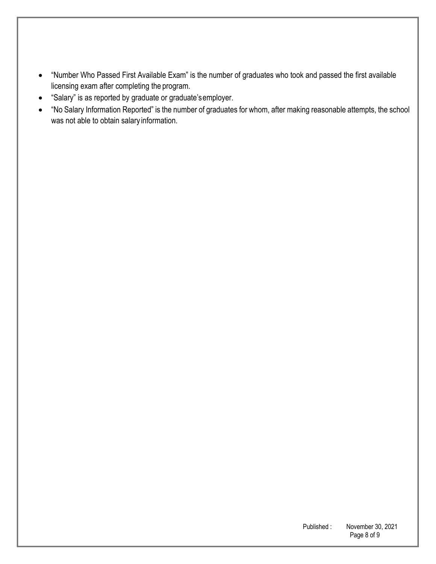- "Number Who Passed First Available Exam" is the number of graduates who took and passed the first available licensing exam after completing the program.
- "Salary" is as reported by graduate or graduate's employer.
- "No Salary Information Reported" is the number of graduates for whom, after making reasonable attempts, the school was not able to obtain salary information.